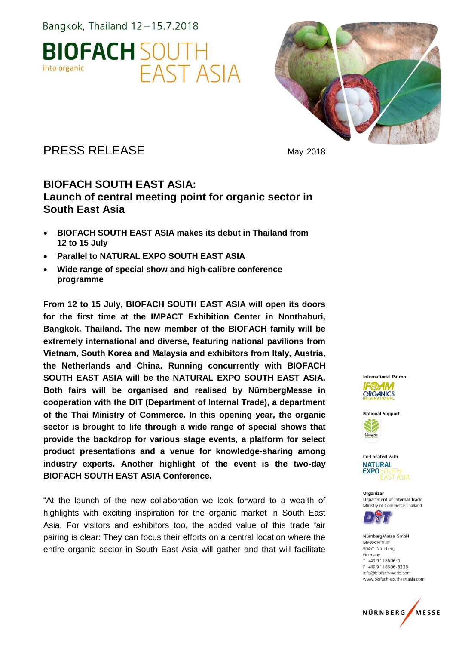



### PRESS RELEASE May 2018

#### **BIOFACH SOUTH EAST ASIA: Launch of central meeting point for organic sector in South East Asia**

- **BIOFACH SOUTH EAST ASIA makes its debut in Thailand from 12 to 15 July**
- **Parallel to NATURAL EXPO SOUTH EAST ASIA**
- **Wide range of special show and high-calibre conference programme**

**From 12 to 15 July, BIOFACH SOUTH EAST ASIA will open its doors for the first time at the IMPACT Exhibition Center in Nonthaburi, Bangkok, Thailand. The new member of the BIOFACH family will be extremely international and diverse, featuring national pavilions from Vietnam, South Korea and Malaysia and exhibitors from Italy, Austria, the Netherlands and China. Running concurrently with BIOFACH SOUTH EAST ASIA will be the NATURAL EXPO SOUTH EAST ASIA. Both fairs will be organised and realised by NürnbergMesse in cooperation with the DIT (Department of Internal Trade), a department of the Thai Ministry of Commerce. In this opening year, the organic sector is brought to life through a wide range of special shows that provide the backdrop for various stage events, a platform for select product presentations and a venue for knowledge-sharing among industry experts. Another highlight of the event is the two-day BIOFACH SOUTH EAST ASIA Conference.**

"At the launch of the new collaboration we look forward to a wealth of highlights with exciting inspiration for the organic market in South East Asia. For visitors and exhibitors too, the added value of this trade fair pairing is clear: They can focus their efforts on a central location where the entire organic sector in South East Asia will gather and that will facilitate









Organizer Department of Internal Trade Ministry of Commerce Thailand



NürnberaMesse GmbH Messezentrum 90471 Nürnberg Germany  $T + 499118606 - 0$ F +49 9 11 8 6 0 6 - 8 2 2 8 info@biofach-world.com www.biofach-southeastasia.com

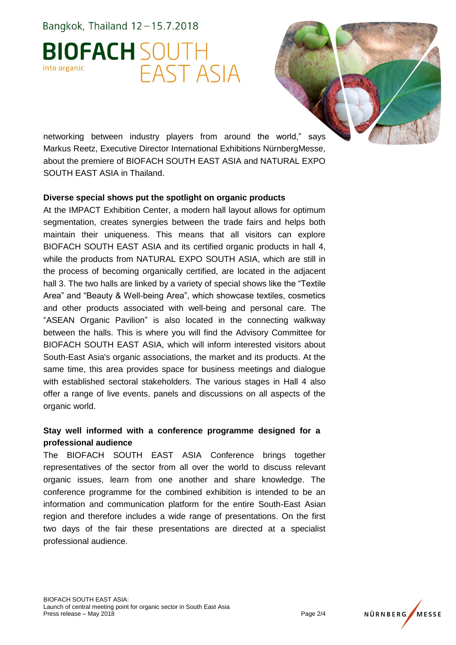# **BIOFACH SOUTH** FAST ASIA into organic



networking between industry players from around the world," says Markus Reetz, Executive Director International Exhibitions NürnbergMesse, about the premiere of BIOFACH SOUTH EAST ASIA and NATURAL EXPO SOUTH EAST ASIA in Thailand.

#### **Diverse special shows put the spotlight on organic products**

At the IMPACT Exhibition Center, a modern hall layout allows for optimum segmentation, creates synergies between the trade fairs and helps both maintain their uniqueness. This means that all visitors can explore BIOFACH SOUTH EAST ASIA and its certified organic products in hall 4, while the products from NATURAL EXPO SOUTH ASIA, which are still in the process of becoming organically certified, are located in the adjacent hall 3. The two halls are linked by a variety of special shows like the "Textile Area" and "Beauty & Well-being Area", which showcase textiles, cosmetics and other products associated with well-being and personal care. The "ASEAN Organic Pavilion" is also located in the connecting walkway between the halls. This is where you will find the Advisory Committee for BIOFACH SOUTH EAST ASIA, which will inform interested visitors about South-East Asia's organic associations, the market and its products. At the same time, this area provides space for business meetings and dialogue with established sectoral stakeholders. The various stages in Hall 4 also offer a range of live events, panels and discussions on all aspects of the organic world.

#### **Stay well informed with a conference programme designed for a professional audience**

The BIOFACH SOUTH EAST ASIA Conference brings together representatives of the sector from all over the world to discuss relevant organic issues, learn from one another and share knowledge. The conference programme for the combined exhibition is intended to be an information and communication platform for the entire South-East Asian region and therefore includes a wide range of presentations. On the first two days of the fair these presentations are directed at a specialist professional audience.

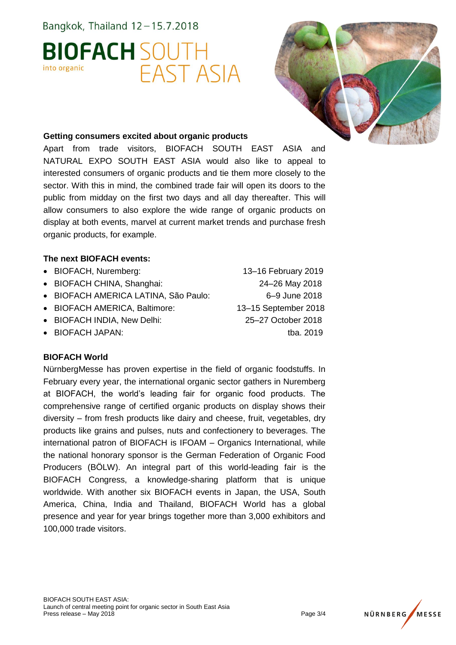# **BIOFACH SOUTH** FAST ASIA into organic



#### **Getting consumers excited about organic products**

Apart from trade visitors, BIOFACH SOUTH EAST ASIA and NATURAL EXPO SOUTH EAST ASIA would also like to appeal to interested consumers of organic products and tie them more closely to the sector. With this in mind, the combined trade fair will open its doors to the public from midday on the first two days and all day thereafter. This will allow consumers to also explore the wide range of organic products on display at both events, marvel at current market trends and purchase fresh organic products, for example.

#### **The next BIOFACH events:**

- BIOFACH, Nuremberg: 13–16 February 2019
- BIOFACH CHINA, Shanghai: 24–26 May 2018
- BIOFACH AMERICA LATINA, São Paulo: 6–9 June 2018
- BIOFACH AMERICA, Baltimore: 13–15 September 2018
- BIOFACH INDIA, New Delhi: 25–27 October 2018
- 

#### **BIOFACH World**

NürnbergMesse has proven expertise in the field of organic foodstuffs. In February every year, the international organic sector gathers in Nuremberg at BIOFACH, the world's leading fair for organic food products. The comprehensive range of certified organic products on display shows their diversity – from fresh products like dairy and cheese, fruit, vegetables, dry products like grains and pulses, nuts and confectionery to beverages. The international patron of BIOFACH is IFOAM – Organics International, while the national honorary sponsor is the German Federation of Organic Food Producers (BÖLW). An integral part of this world-leading fair is the BIOFACH Congress, a knowledge-sharing platform that is unique worldwide. With another six BIOFACH events in Japan, the USA, South America, China, India and Thailand, BIOFACH World has a global presence and year for year brings together more than 3,000 exhibitors and 100,000 trade visitors.

• BIOFACH JAPAN: tba. 2019